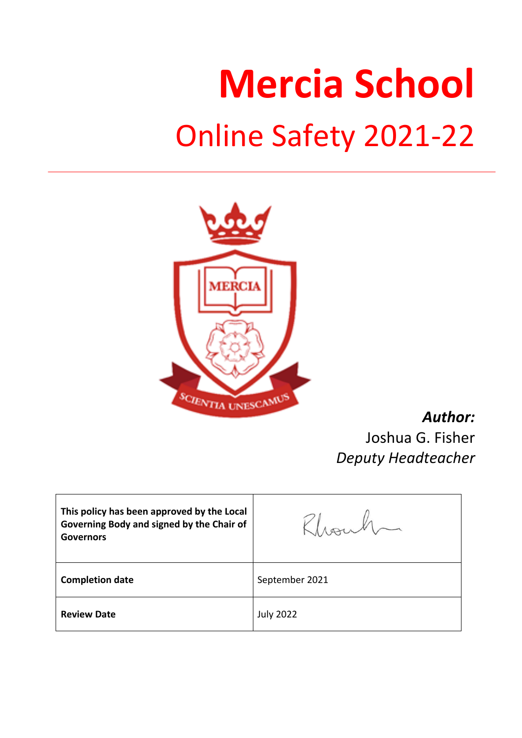# **Mercia School** Online Safety 2021-22



*Author:* Joshua G. Fisher *Deputy Headteacher*

| This policy has been approved by the Local<br>Governing Body and signed by the Chair of<br><b>Governors</b> | Eliouha          |
|-------------------------------------------------------------------------------------------------------------|------------------|
| <b>Completion date</b>                                                                                      | September 2021   |
| <b>Review Date</b>                                                                                          | <b>July 2022</b> |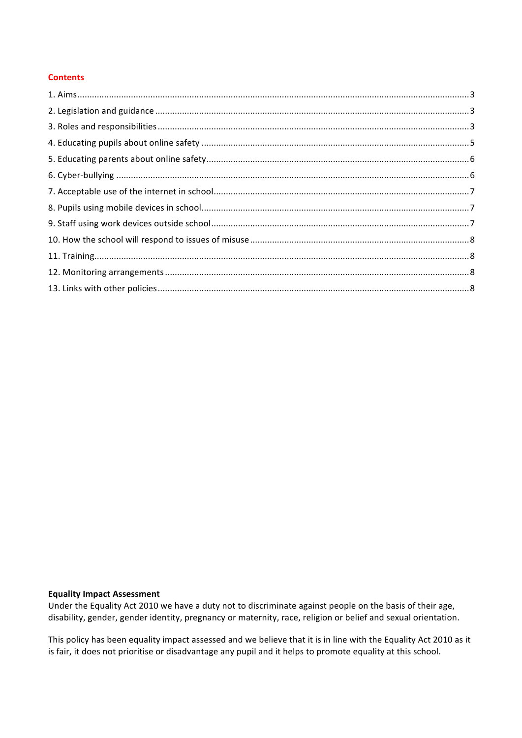# **Contents**

# **Equality Impact Assessment**

Under the Equality Act 2010 we have a duty not to discriminate against people on the basis of their age, disability, gender, gender identity, pregnancy or maternity, race, religion or belief and sexual orientation.

This policy has been equality impact assessed and we believe that it is in line with the Equality Act 2010 as it is fair, it does not prioritise or disadvantage any pupil and it helps to promote equality at this school.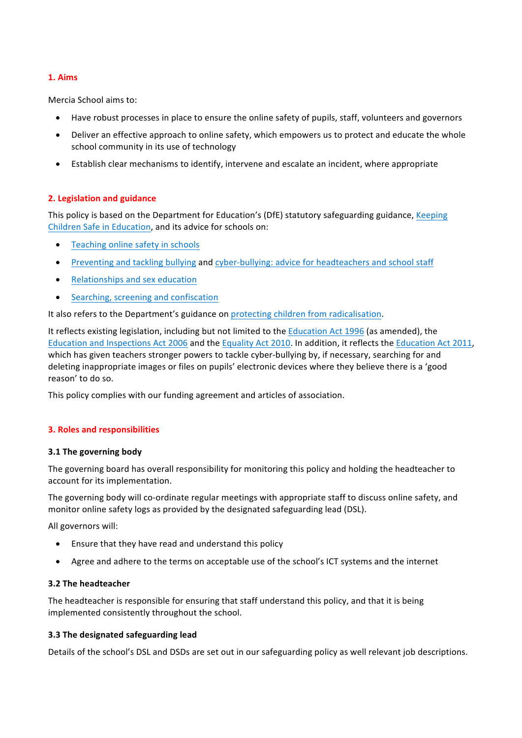## **1. Aims**

Mercia School aims to:

- Have robust processes in place to ensure the online safety of pupils, staff, volunteers and governors
- Deliver an effective approach to online safety, which empowers us to protect and educate the whole school community in its use of technology
- Establish clear mechanisms to identify, intervene and escalate an incident, where appropriate

# **2. Legislation and guidance**

This policy is based on the Department for Education's (DfE) statutory safeguarding guidance, Keeping Children Safe in Education, and its advice for schools on:

- Teaching online safety in schools
- Preventing and tackling bullying and cyber-bullying: advice for headteachers and school staff
- Relationships and sex education
- Searching, screening and confiscation

It also refers to the Department's guidance on protecting children from radicalisation.

It reflects existing legislation, including but not limited to the Education Act 1996 (as amended), the Education and Inspections Act 2006 and the Equality Act 2010. In addition, it reflects the Education Act 2011, which has given teachers stronger powers to tackle cyber-bullying by, if necessary, searching for and deleting inappropriate images or files on pupils' electronic devices where they believe there is a 'good reason' to do so.

This policy complies with our funding agreement and articles of association.

## **3. Roles and responsibilities**

## **3.1 The governing body**

The governing board has overall responsibility for monitoring this policy and holding the headteacher to account for its implementation.

The governing body will co-ordinate regular meetings with appropriate staff to discuss online safety, and monitor online safety logs as provided by the designated safeguarding lead (DSL).

All governors will:

- $\bullet$  Ensure that they have read and understand this policy
- Agree and adhere to the terms on acceptable use of the school's ICT systems and the internet

## **3.2 The headteacher**

The headteacher is responsible for ensuring that staff understand this policy, and that it is being implemented consistently throughout the school.

## **3.3 The designated safeguarding lead**

Details of the school's DSL and DSDs are set out in our safeguarding policy as well relevant job descriptions.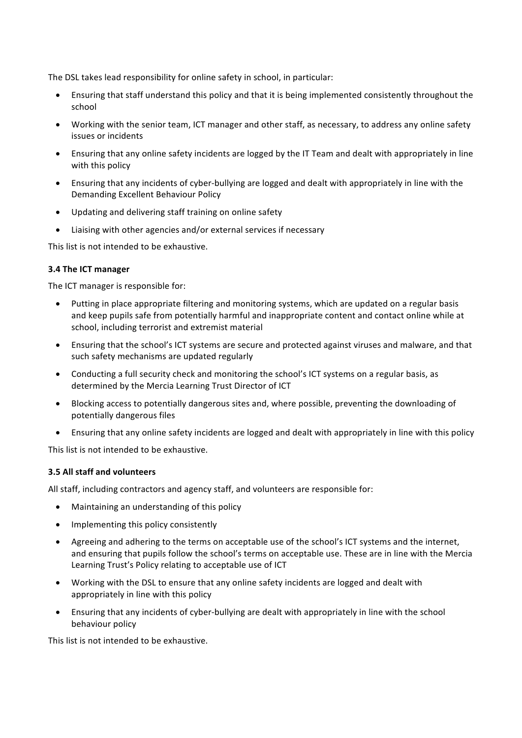The DSL takes lead responsibility for online safety in school, in particular:

- Ensuring that staff understand this policy and that it is being implemented consistently throughout the school
- Working with the senior team, ICT manager and other staff, as necessary, to address any online safety issues or incidents
- Ensuring that any online safety incidents are logged by the IT Team and dealt with appropriately in line with this policy
- Ensuring that any incidents of cyber-bullying are logged and dealt with appropriately in line with the Demanding Excellent Behaviour Policy
- Updating and delivering staff training on online safety
- Liaising with other agencies and/or external services if necessary

This list is not intended to be exhaustive.

# **3.4 The ICT manager**

The ICT manager is responsible for:

- Putting in place appropriate filtering and monitoring systems, which are updated on a regular basis and keep pupils safe from potentially harmful and inappropriate content and contact online while at school, including terrorist and extremist material
- Ensuring that the school's ICT systems are secure and protected against viruses and malware, and that such safety mechanisms are updated regularly
- Conducting a full security check and monitoring the school's ICT systems on a regular basis, as determined by the Mercia Learning Trust Director of ICT
- Blocking access to potentially dangerous sites and, where possible, preventing the downloading of potentially dangerous files
- Ensuring that any online safety incidents are logged and dealt with appropriately in line with this policy

This list is not intended to be exhaustive.

## **3.5 All staff and volunteers**

All staff, including contractors and agency staff, and volunteers are responsible for:

- Maintaining an understanding of this policy
- Implementing this policy consistently
- Agreeing and adhering to the terms on acceptable use of the school's ICT systems and the internet, and ensuring that pupils follow the school's terms on acceptable use. These are in line with the Mercia Learning Trust's Policy relating to acceptable use of ICT
- Working with the DSL to ensure that any online safety incidents are logged and dealt with appropriately in line with this policy
- Ensuring that any incidents of cyber-bullying are dealt with appropriately in line with the school behaviour policy

This list is not intended to be exhaustive.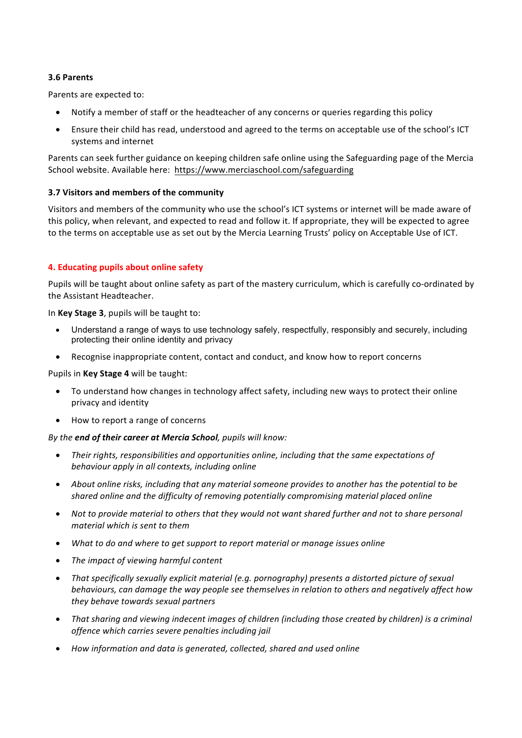## **3.6 Parents**

Parents are expected to:

- Notify a member of staff or the headteacher of any concerns or queries regarding this policy
- Ensure their child has read, understood and agreed to the terms on acceptable use of the school's ICT systems and internet

Parents can seek further guidance on keeping children safe online using the Safeguarding page of the Mercia School website. Available here: https://www.merciaschool.com/safeguarding

## **3.7 Visitors and members of the community**

Visitors and members of the community who use the school's ICT systems or internet will be made aware of this policy, when relevant, and expected to read and follow it. If appropriate, they will be expected to agree to the terms on acceptable use as set out by the Mercia Learning Trusts' policy on Acceptable Use of ICT.

## **4. Educating pupils about online safety**

Pupils will be taught about online safety as part of the mastery curriculum, which is carefully co-ordinated by the Assistant Headteacher.

In **Key Stage 3**, pupils will be taught to:

- Understand a range of ways to use technology safely, respectfully, responsibly and securely, including protecting their online identity and privacy
- Recognise inappropriate content, contact and conduct, and know how to report concerns

#### Pupils in **Key Stage 4** will be taught:

- To understand how changes in technology affect safety, including new ways to protect their online privacy and identity
- How to report a range of concerns

## By the end of their career at Mercia School, pupils will know:

- Their rights, responsibilities and opportunities online, including that the same expectations of behaviour apply in all contexts, including online
- About online risks, including that any material someone provides to another has the potential to be shared online and the difficulty of removing potentially compromising material placed online
- Not to provide material to others that they would not want shared further and not to share personal *material which is sent to them*
- *What to do and where to get support to report material or manage issues online*
- **The impact of viewing harmful content**
- *That specifically sexually explicit material (e.g. pornography) presents a distorted picture of sexual behaviours, can damage the way people see themselves in relation to others and negatively affect how they behave towards sexual partners*
- That sharing and viewing indecent images of children (including those created by children) is a criminal *offence which carries severe penalties including jail*
- How information and data is aenerated, collected, shared and used online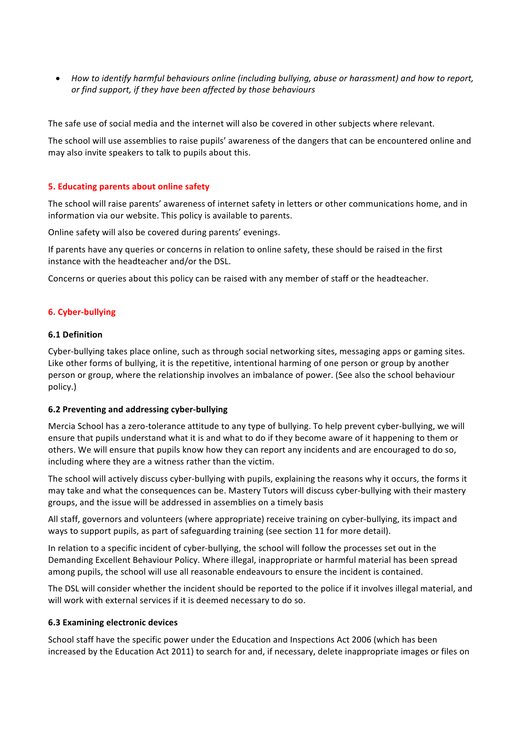How to identify harmful behaviours online (including bullying, abuse or harassment) and how to report, or find support, if they have been affected by those behaviours

The safe use of social media and the internet will also be covered in other subjects where relevant.

The school will use assemblies to raise pupils' awareness of the dangers that can be encountered online and may also invite speakers to talk to pupils about this.

## **5. Educating parents about online safety**

The school will raise parents' awareness of internet safety in letters or other communications home, and in information via our website. This policy is available to parents.

Online safety will also be covered during parents' evenings.

If parents have any queries or concerns in relation to online safety, these should be raised in the first instance with the headteacher and/or the DSL.

Concerns or queries about this policy can be raised with any member of staff or the headteacher.

#### **6. Cyber-bullying**

#### **6.1 Definition**

Cyber-bullying takes place online, such as through social networking sites, messaging apps or gaming sites. Like other forms of bullying, it is the repetitive, intentional harming of one person or group by another person or group, where the relationship involves an imbalance of power. (See also the school behaviour policy.)

#### **6.2 Preventing and addressing cyber-bullying**

Mercia School has a zero-tolerance attitude to any type of bullying. To help prevent cyber-bullying, we will ensure that pupils understand what it is and what to do if they become aware of it happening to them or others. We will ensure that pupils know how they can report any incidents and are encouraged to do so, including where they are a witness rather than the victim.

The school will actively discuss cyber-bullying with pupils, explaining the reasons why it occurs, the forms it may take and what the consequences can be. Mastery Tutors will discuss cyber-bullying with their mastery groups, and the issue will be addressed in assemblies on a timely basis

All staff, governors and volunteers (where appropriate) receive training on cyber-bullying, its impact and ways to support pupils, as part of safeguarding training (see section 11 for more detail).

In relation to a specific incident of cyber-bullying, the school will follow the processes set out in the Demanding Excellent Behaviour Policy. Where illegal, inappropriate or harmful material has been spread among pupils, the school will use all reasonable endeavours to ensure the incident is contained.

The DSL will consider whether the incident should be reported to the police if it involves illegal material, and will work with external services if it is deemed necessary to do so.

#### **6.3 Examining electronic devices**

School staff have the specific power under the Education and Inspections Act 2006 (which has been increased by the Education Act 2011) to search for and, if necessary, delete inappropriate images or files on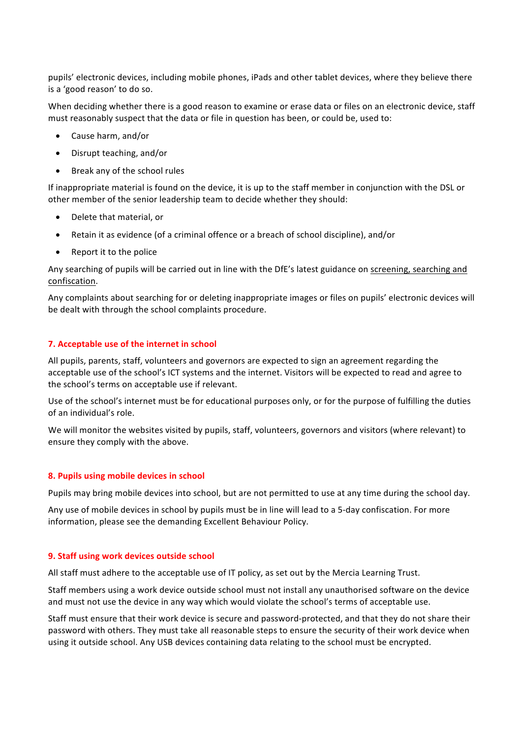pupils' electronic devices, including mobile phones, iPads and other tablet devices, where they believe there is a 'good reason' to do so.

When deciding whether there is a good reason to examine or erase data or files on an electronic device, staff must reasonably suspect that the data or file in question has been, or could be, used to:

- Cause harm, and/or
- Disrupt teaching, and/or
- Break any of the school rules

If inappropriate material is found on the device, it is up to the staff member in conjunction with the DSL or other member of the senior leadership team to decide whether they should:

- Delete that material, or
- Retain it as evidence (of a criminal offence or a breach of school discipline), and/or
- Report it to the police

Any searching of pupils will be carried out in line with the DfE's latest guidance on screening, searching and confiscation.

Any complaints about searching for or deleting inappropriate images or files on pupils' electronic devices will be dealt with through the school complaints procedure.

# **7.** Acceptable use of the internet in school

All pupils, parents, staff, volunteers and governors are expected to sign an agreement regarding the acceptable use of the school's ICT systems and the internet. Visitors will be expected to read and agree to the school's terms on acceptable use if relevant.

Use of the school's internet must be for educational purposes only, or for the purpose of fulfilling the duties of an individual's role.

We will monitor the websites visited by pupils, staff, volunteers, governors and visitors (where relevant) to ensure they comply with the above.

## **8. Pupils using mobile devices in school**

Pupils may bring mobile devices into school, but are not permitted to use at any time during the school day.

Any use of mobile devices in school by pupils must be in line will lead to a 5-day confiscation. For more information, please see the demanding Excellent Behaviour Policy.

## **9.** Staff using work devices outside school

All staff must adhere to the acceptable use of IT policy, as set out by the Mercia Learning Trust.

Staff members using a work device outside school must not install any unauthorised software on the device and must not use the device in any way which would violate the school's terms of acceptable use.

Staff must ensure that their work device is secure and password-protected, and that they do not share their password with others. They must take all reasonable steps to ensure the security of their work device when using it outside school. Any USB devices containing data relating to the school must be encrypted.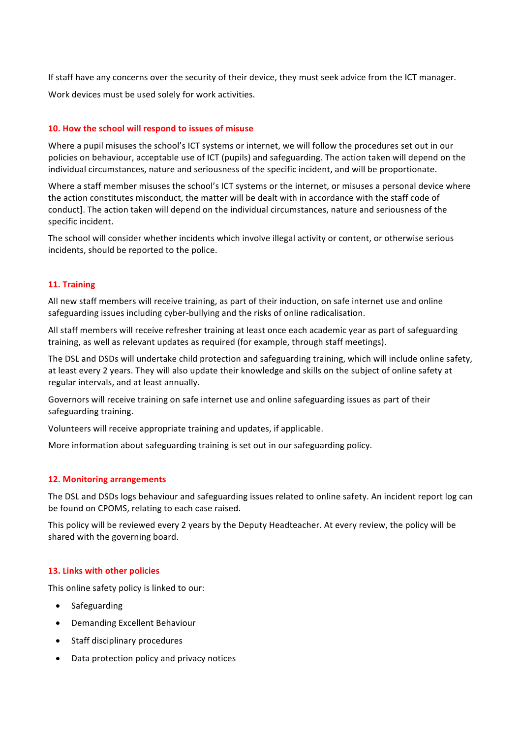If staff have any concerns over the security of their device, they must seek advice from the ICT manager.

Work devices must be used solely for work activities.

# **10. How the school will respond to issues of misuse**

Where a pupil misuses the school's ICT systems or internet, we will follow the procedures set out in our policies on behaviour, acceptable use of ICT (pupils) and safeguarding. The action taken will depend on the individual circumstances, nature and seriousness of the specific incident, and will be proportionate.

Where a staff member misuses the school's ICT systems or the internet, or misuses a personal device where the action constitutes misconduct, the matter will be dealt with in accordance with the staff code of conduct]. The action taken will depend on the individual circumstances, nature and seriousness of the specific incident.

The school will consider whether incidents which involve illegal activity or content, or otherwise serious incidents, should be reported to the police.

## **11. Training**

All new staff members will receive training, as part of their induction, on safe internet use and online safeguarding issues including cyber-bullying and the risks of online radicalisation.

All staff members will receive refresher training at least once each academic year as part of safeguarding training, as well as relevant updates as required (for example, through staff meetings).

The DSL and DSDs will undertake child protection and safeguarding training, which will include online safety, at least every 2 years. They will also update their knowledge and skills on the subject of online safety at regular intervals, and at least annually.

Governors will receive training on safe internet use and online safeguarding issues as part of their safeguarding training.

Volunteers will receive appropriate training and updates, if applicable.

More information about safeguarding training is set out in our safeguarding policy.

## **12. Monitoring arrangements**

The DSL and DSDs logs behaviour and safeguarding issues related to online safety. An incident report log can be found on CPOMS, relating to each case raised.

This policy will be reviewed every 2 years by the Deputy Headteacher. At every review, the policy will be shared with the governing board.

## **13. Links with other policies**

This online safety policy is linked to our:

- Safeguarding
- Demanding Excellent Behaviour
- Staff disciplinary procedures
- Data protection policy and privacy notices